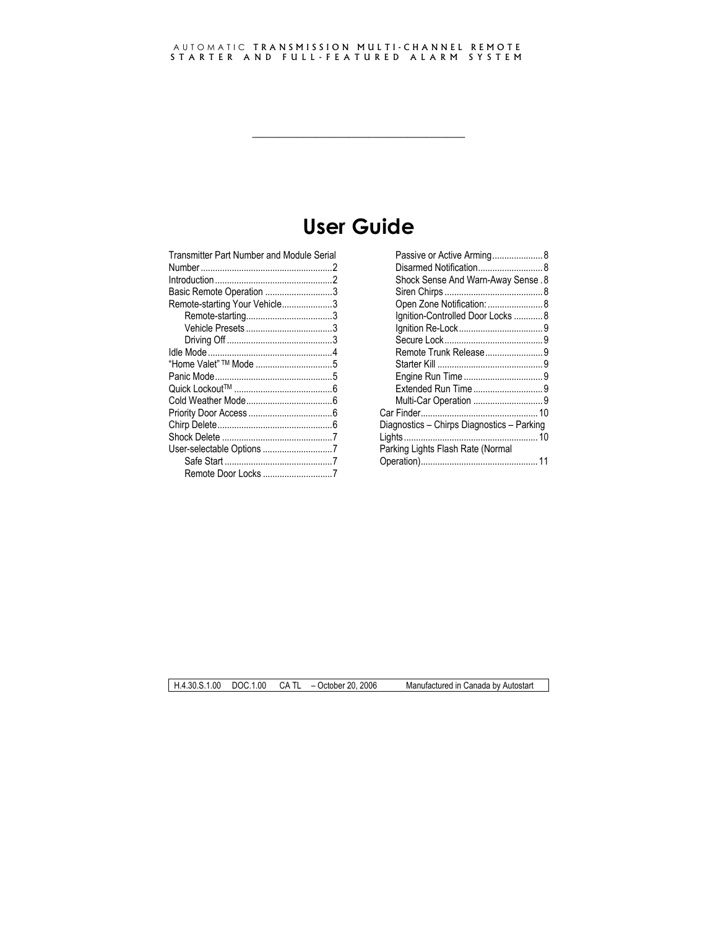# **User Guide**

**\_\_\_\_\_\_\_\_\_\_\_\_\_\_\_\_\_\_\_\_\_\_\_\_\_\_\_\_\_\_\_\_\_** 

| Transmitter Part Number and Module Serial |  |
|-------------------------------------------|--|
|                                           |  |
|                                           |  |
| Basic Remote Operation 3                  |  |
| Remote-starting Your Vehicle3             |  |
|                                           |  |
|                                           |  |
|                                           |  |
|                                           |  |
|                                           |  |
|                                           |  |
|                                           |  |
|                                           |  |
|                                           |  |
|                                           |  |
|                                           |  |
| User-selectable Options 7                 |  |
|                                           |  |
| Remote Door Locks 7                       |  |
|                                           |  |

| Passive or Active Arming 8                 |  |
|--------------------------------------------|--|
|                                            |  |
| Shock Sense And Warn-Away Sense. 8         |  |
|                                            |  |
| Open Zone Notification:  8                 |  |
| Ignition-Controlled Door Locks  8          |  |
|                                            |  |
|                                            |  |
| Remote Trunk Release9                      |  |
|                                            |  |
|                                            |  |
|                                            |  |
|                                            |  |
|                                            |  |
| Diagnostics – Chirps Diagnostics – Parking |  |
|                                            |  |
| Parking Lights Flash Rate (Normal          |  |
|                                            |  |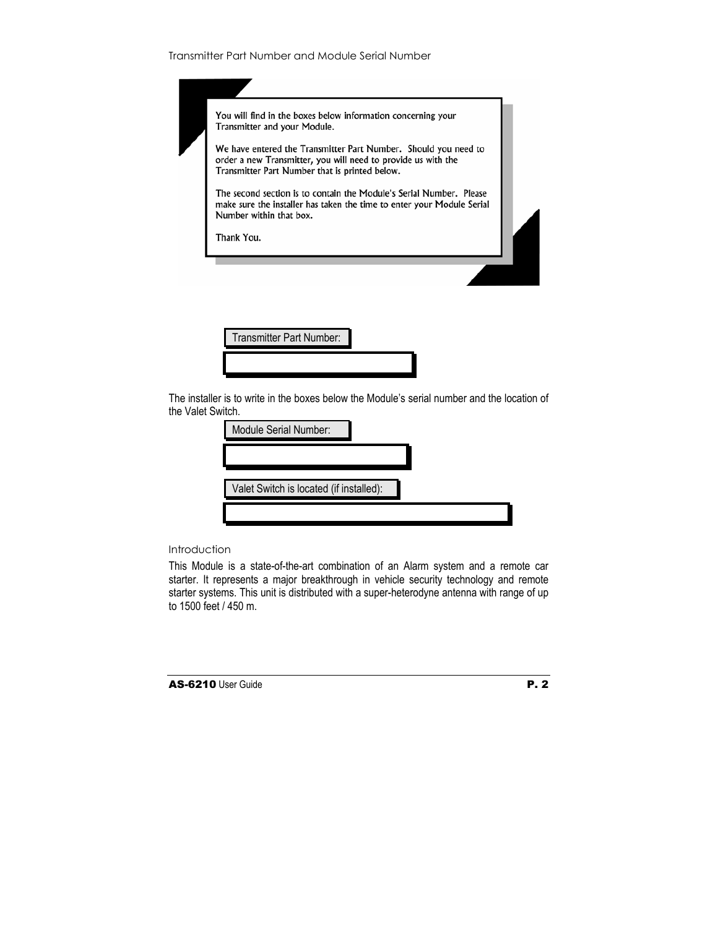| Transmitter Part Number and Module Serial Number |  |  |  |  |
|--------------------------------------------------|--|--|--|--|
|--------------------------------------------------|--|--|--|--|



Transmitter Part Number:

The installer is to write in the boxes below the Module's serial number and the location of the Valet Switch.

| Module Serial Number:                   |  |
|-----------------------------------------|--|
|                                         |  |
| Valet Switch is located (if installed): |  |
|                                         |  |
|                                         |  |

## **Introduction**

This Module is a state-of-the-art combination of an Alarm system and a remote car starter. It represents a major breakthrough in vehicle security technology and remote starter systems. This unit is distributed with a super-heterodyne antenna with range of up to 1500 feet / 450 m.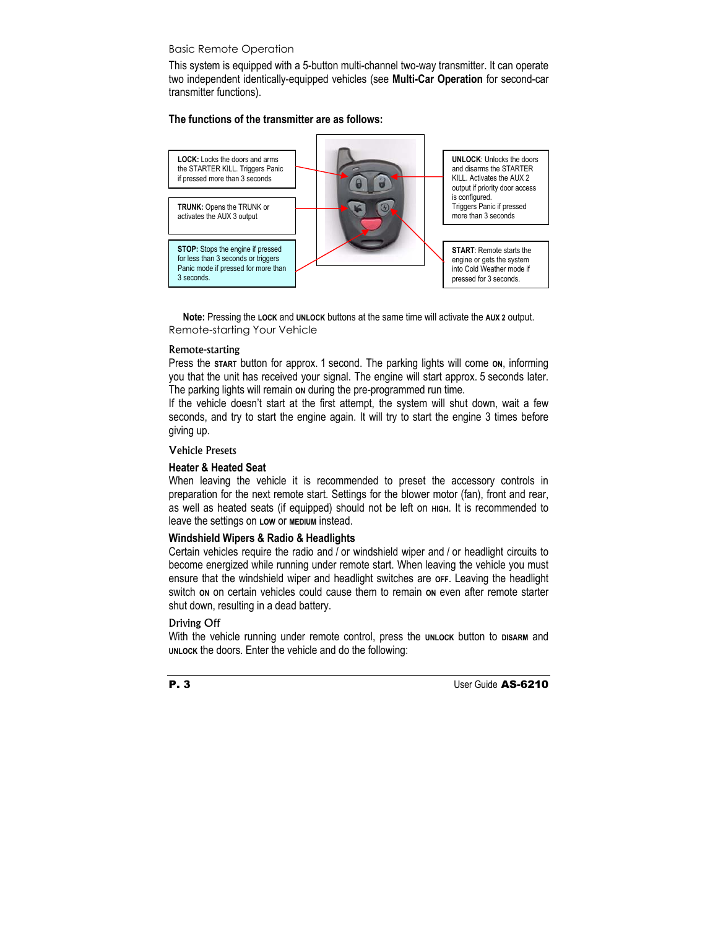# Basic Remote Operation

This system is equipped with a 5-button multi-channel two-way transmitter. It can operate two independent identically-equipped vehicles (see **Multi-Car Operation** for second-car transmitter functions).

## **The functions of the transmitter are as follows:**



**Note:** Pressing the **LOCK** and **UNLOCK** buttons at the same time will activate the **AUX 2** output. Remote-starting Your Vehicle

#### Remote-starting

Press the **START** button for approx. 1 second. The parking lights will come **ON**, informing you that the unit has received your signal. The engine will start approx. 5 seconds later. The parking lights will remain **ON** during the pre-programmed run time.

If the vehicle doesn't start at the first attempt, the system will shut down, wait a few seconds, and try to start the engine again. It will try to start the engine 3 times before giving up.

## Vehicle Presets

## **Heater & Heated Seat**

When leaving the vehicle it is recommended to preset the accessory controls in preparation for the next remote start. Settings for the blower motor (fan), front and rear, as well as heated seats (if equipped) should not be left on **HIGH**. It is recommended to leave the settings on **LOW** or **MEDIUM** instead.

## **Windshield Wipers & Radio & Headlights**

Certain vehicles require the radio and / or windshield wiper and / or headlight circuits to become energized while running under remote start. When leaving the vehicle you must ensure that the windshield wiper and headlight switches are **OFF**. Leaving the headlight switch **ON** on certain vehicles could cause them to remain **ON** even after remote starter shut down, resulting in a dead battery.

## Driving Off

With the vehicle running under remote control, press the **UNLOCK** button to DISARM and **UNLOCK** the doors. Enter the vehicle and do the following: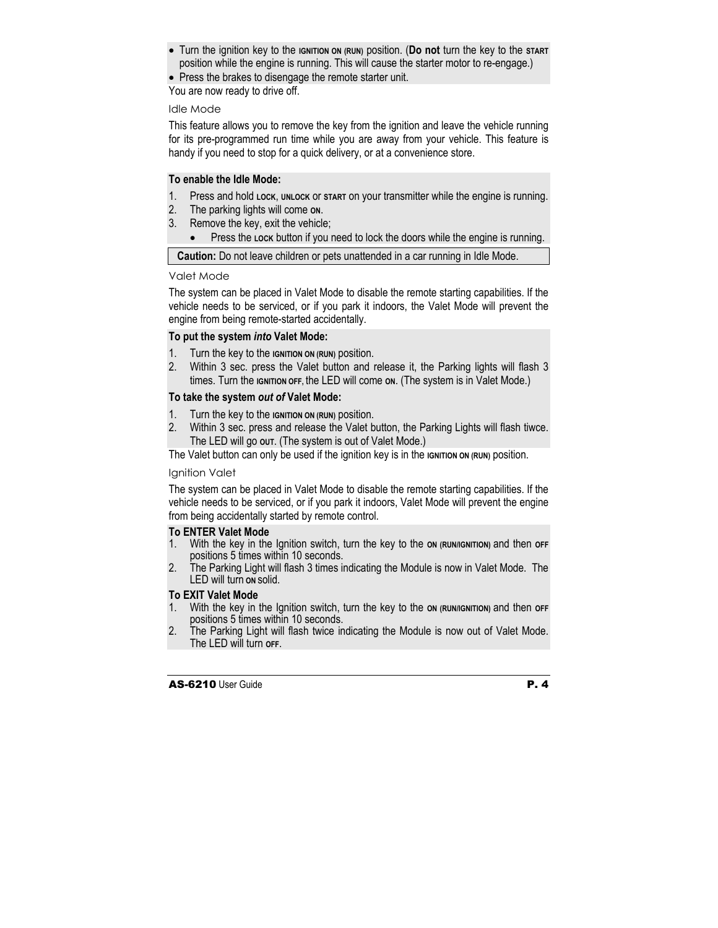- Turn the ignition key to the **IGNITION ON (RUN)** position. (**Do not** turn the key to the **START** position while the engine is running. This will cause the starter motor to re-engage.)
- Press the brakes to disengage the remote starter unit.

You are now ready to drive off.

#### Idle Mode

This feature allows you to remove the key from the ignition and leave the vehicle running for its pre-programmed run time while you are away from your vehicle. This feature is handy if you need to stop for a quick delivery, or at a convenience store.

## **To enable the Idle Mode:**

- 1. Press and hold **LOCK**, **UNLOCK** or **START** on your transmitter while the engine is running.
- 2. The parking lights will come **ON**.
- 3. Remove the key, exit the vehicle;
	- Press the **LOCK** button if you need to lock the doors while the engine is running.

**Caution:** Do not leave children or pets unattended in a car running in Idle Mode.

## Valet Mode

The system can be placed in Valet Mode to disable the remote starting capabilities. If the vehicle needs to be serviced, or if you park it indoors, the Valet Mode will prevent the engine from being remote-started accidentally.

## **To put the system** *into* **Valet Mode:**

- 1. Turn the key to the **IGNITION ON (RUN)** position.
- 2. Within 3 sec. press the Valet button and release it, the Parking lights will flash 3 times. Turn the **IGNITION OFF,** the LED will come **ON**. (The system is in Valet Mode.)

# **To take the system** *out of* **Valet Mode:**

- 1. Turn the key to the **IGNITION ON (RUN)** position.
- 2. Within 3 sec. press and release the Valet button, the Parking Lights will flash tiwce. The LED will go **OUT**. (The system is out of Valet Mode.)

The Valet button can only be used if the ignition key is in the **IGNITION** ON (RUN) position.

## Ignition Valet

The system can be placed in Valet Mode to disable the remote starting capabilities. If the vehicle needs to be serviced, or if you park it indoors, Valet Mode will prevent the engine from being accidentally started by remote control.

## **To ENTER Valet Mode**

- 1. With the key in the Ignition switch, turn the key to the **ON (RUN/IGNITION)** and then **OFF**  positions 5 times within 10 seconds.
- 2. The Parking Light will flash 3 times indicating the Module is now in Valet Mode. The LED will turn **ON** solid.

# **To EXIT Valet Mode**

- 1. With the key in the Ignition switch, turn the key to the **ON (RUN/IGNITION)** and then **OFF**  positions 5 times within 10 seconds.
- 2. The Parking Light will flash twice indicating the Module is now out of Valet Mode. The LED will turn **OFF**.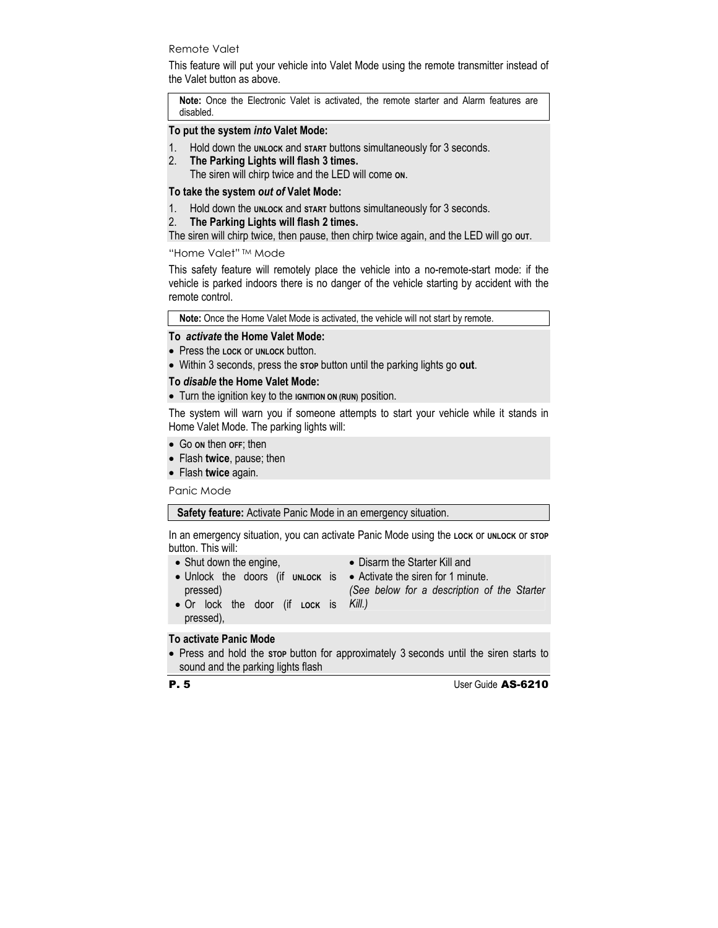## Remote Valet

This feature will put your vehicle into Valet Mode using the remote transmitter instead of the Valet button as above.

**Note:** Once the Electronic Valet is activated, the remote starter and Alarm features are disabled.

## **To put the system** *into* **Valet Mode:**

- 1. Hold down the **UNLOCK** and **START** buttons simultaneously for 3 seconds.
- 2. **The Parking Lights will flash 3 times.**

The siren will chirp twice and the LED will come **ON**.

## **To take the system** *out of* **Valet Mode:**

1. Hold down the **UNLOCK** and **START** buttons simultaneously for 3 seconds.

# 2. **The Parking Lights will flash 2 times.**

The siren will chirp twice, then pause, then chirp twice again, and the LED will go out.

## "Home Valet" TM Mode

This safety feature will remotely place the vehicle into a no-remote-start mode: if the vehicle is parked indoors there is no danger of the vehicle starting by accident with the remote control.

**Note:** Once the Home Valet Mode is activated, the vehicle will not start by remote.

## **To** *activate* **the Home Valet Mode:**

- Press the **LOCK** or **UNLOCK** button.
- Within 3 seconds, press the **STOP** button until the parking lights go **out**.

# **To** *disable* **the Home Valet Mode:**

• Turn the ignition key to the **IGNITION ON (RUN)** position.

The system will warn you if someone attempts to start your vehicle while it stands in Home Valet Mode. The parking lights will:

- Go **ON** then **OFF**; then
- Flash **twice**, pause; then
- Flash **twice** again.

Panic Mode

**Safety feature:** Activate Panic Mode in an emergency situation.

In an emergency situation, you can activate Panic Mode using the **LOCK** or **UNLOCK** or **STOP** button. This will:

- Shut down the engine,
- Disarm the Starter Kill and
- Unlock the doors (if unLock is Activate the siren for 1 minute. pressed)
- 

*(See below for a description of the Starter Kill.)*

• Or lock the door (if **LOCK** is pressed),

# **To activate Panic Mode**

• Press and hold the **STOP** button for approximately 3 seconds until the siren starts to sound and the parking lights flash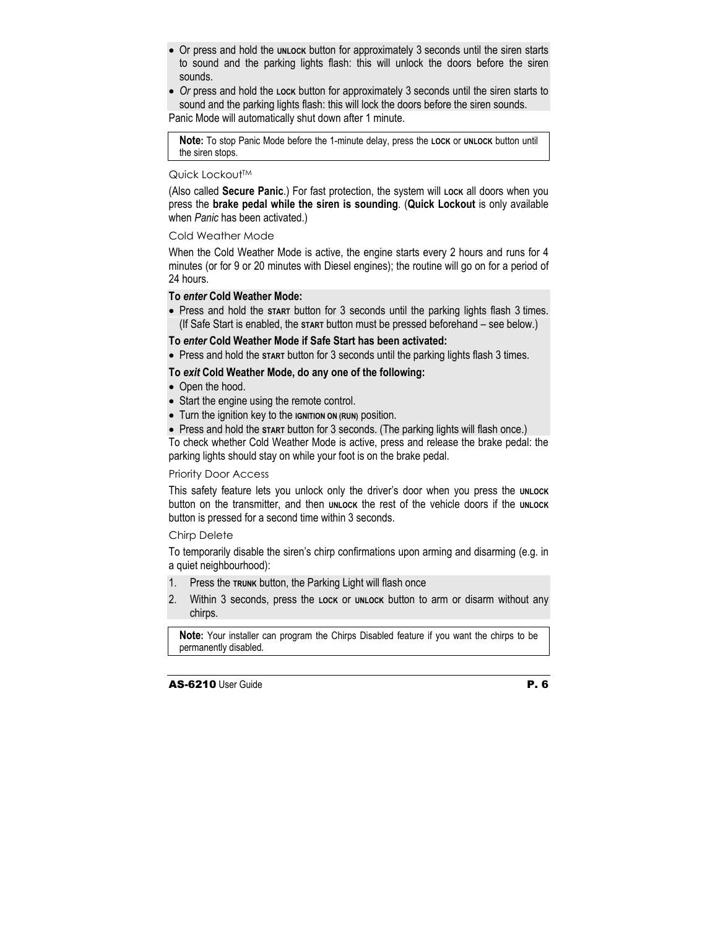- Or press and hold the **UNLOCK** button for approximately 3 seconds until the siren starts to sound and the parking lights flash: this will unlock the doors before the siren sounds.
- *Or* press and hold the **LOCK** button for approximately 3 seconds until the siren starts to sound and the parking lights flash: this will lock the doors before the siren sounds. Panic Mode will automatically shut down after 1 minute.

**Note:** To stop Panic Mode before the 1-minute delay, press the **LOCK** or **UNLOCK** button until the siren stops.

#### Quick Lockout™

(Also called **Secure Panic**.) For fast protection, the system will **LOCK** all doors when you press the **brake pedal while the siren is sounding**. (**Quick Lockout** is only available when *Panic* has been activated.)

#### Cold Weather Mode

When the Cold Weather Mode is active, the engine starts every 2 hours and runs for 4 minutes (or for 9 or 20 minutes with Diesel engines); the routine will go on for a period of 24 hours.

## **To** *enter* **Cold Weather Mode:**

• Press and hold the **START** button for 3 seconds until the parking lights flash 3 times. (If Safe Start is enabled, the **START** button must be pressed beforehand – see below*.*)

## **To** *enter* **Cold Weather Mode if Safe Start has been activated:**

• Press and hold the **START** button for 3 seconds until the parking lights flash 3 times.

## **To** *exit* **Cold Weather Mode, do any one of the following:**

- Open the hood.
- Start the engine using the remote control.
- Turn the ignition key to the **IGNITION ON (RUN)** position.
- Press and hold the start button for 3 seconds. (The parking lights will flash once.)

To check whether Cold Weather Mode is active, press and release the brake pedal: the parking lights should stay on while your foot is on the brake pedal.

#### Priority Door Access

This safety feature lets you unlock only the driver's door when you press the **UNLOCK** button on the transmitter, and then **UNLOCK** the rest of the vehicle doors if the **UNLOCK** button is pressed for a second time within 3 seconds.

#### Chirp Delete

To temporarily disable the siren's chirp confirmations upon arming and disarming (e.g. in a quiet neighbourhood):

- 1. Press the **TRUNK** button, the Parking Light will flash once
- 2. Within 3 seconds, press the **LOCK** or **UNLOCK** button to arm or disarm without any chirps.

**Note:** Your installer can program the Chirps Disabled feature if you want the chirps to be permanently disabled.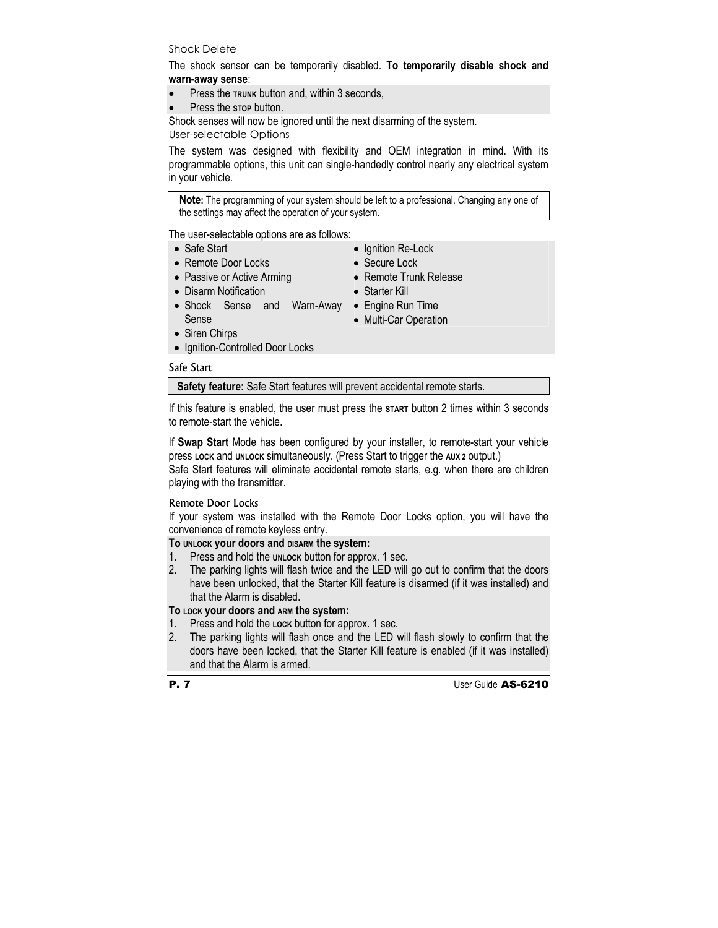## Shock Delete

The shock sensor can be temporarily disabled. **To temporarily disable shock and warn-away sense**:

- Press the **TRUNK** button and, within 3 seconds,
- Press the stop button.

Shock senses will now be ignored until the next disarming of the system.

User-selectable Options

The system was designed with flexibility and OEM integration in mind. With its programmable options, this unit can single-handedly control nearly any electrical system in your vehicle.

**Note:** The programming of your system should be left to a professional. Changing any one of the settings may affect the operation of your system.

The user-selectable options are as follows:

- Safe Start
- Remote Door Locks
- Passive or Active Arming
- Disarm Notification
- Shock Sense and Warn-Away Engine Run Time Sense
- Ignition Re-Lock
- Secure Lock
- Remote Trunk Release
- Starter Kill
- - Multi-Car Operation

- Siren Chirps
- Ignition-Controlled Door Locks

# Safe Start

**Safety feature:** Safe Start features will prevent accidental remote starts.

If this feature is enabled, the user must press the **START** button 2 times within 3 seconds to remote-start the vehicle.

If **Swap Start** Mode has been configured by your installer, to remote-start your vehicle press **LOCK** and **UNLOCK** simultaneously. (Press Start to trigger the **AUX 2** output.)

Safe Start features will eliminate accidental remote starts, e.g. when there are children playing with the transmitter.

# Remote Door Locks

If your system was installed with the Remote Door Locks option, you will have the convenience of remote keyless entry.

# **To UNLOCK your doors and DISARM the system:**

- 1. Press and hold the **UNLOCK** button for approx. 1 sec.
- 2. The parking lights will flash twice and the LED will go out to confirm that the doors have been unlocked, that the Starter Kill feature is disarmed (if it was installed) and that the Alarm is disabled.

# **To LOCK your doors and ARM the system:**

- 1. Press and hold the **LOCK** button for approx. 1 sec.
- 2. The parking lights will flash once and the LED will flash slowly to confirm that the doors have been locked, that the Starter Kill feature is enabled (if it was installed) and that the Alarm is armed.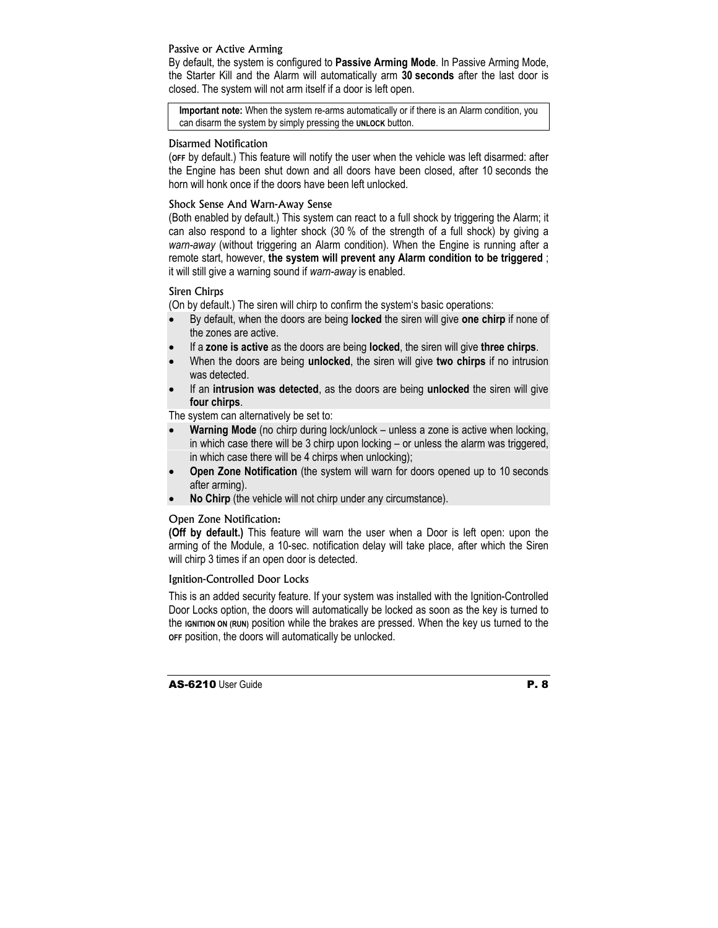## Passive or Active Arming

By default, the system is configured to **Passive Arming Mode**. In Passive Arming Mode, the Starter Kill and the Alarm will automatically arm **30 seconds** after the last door is closed. The system will not arm itself if a door is left open.

**Important note:** When the system re-arms automatically or if there is an Alarm condition, you can disarm the system by simply pressing the **UNLOCK** button.

## Disarmed Notification

(**OFF** by default.) This feature will notify the user when the vehicle was left disarmed: after the Engine has been shut down and all doors have been closed, after 10 seconds the horn will honk once if the doors have been left unlocked.

## Shock Sense And Warn-Away Sense

(Both enabled by default.) This system can react to a full shock by triggering the Alarm; it can also respond to a lighter shock (30 % of the strength of a full shock) by giving a *warn-away* (without triggering an Alarm condition). When the Engine is running after a remote start, however, **the system will prevent any Alarm condition to be triggered** ; it will still give a warning sound if *warn-away* is enabled.

# Siren Chirps

(On by default.) The siren will chirp to confirm the system's basic operations:

- By default, when the doors are being **locked** the siren will give **one chirp** if none of the zones are active.
- If a **zone is active** as the doors are being **locked**, the siren will give **three chirps**.
- When the doors are being **unlocked**, the siren will give **two chirps** if no intrusion was detected.
- If an **intrusion was detected**, as the doors are being **unlocked** the siren will give **four chirps**.

The system can alternatively be set to:

- **Warning Mode** (no chirp during lock/unlock unless a zone is active when locking, in which case there will be 3 chirp upon locking – or unless the alarm was triggered, in which case there will be 4 chirps when unlocking);
- **Open Zone Notification** (the system will warn for doors opened up to 10 seconds after arming).
- **No Chirp** (the vehicle will not chirp under any circumstance).

# Open Zone Notification:

**(Off by default.)** This feature will warn the user when a Door is left open: upon the arming of the Module, a 10-sec. notification delay will take place, after which the Siren will chirp 3 times if an open door is detected.

## Ignition-Controlled Door Locks

This is an added security feature. If your system was installed with the Ignition-Controlled Door Locks option, the doors will automatically be locked as soon as the key is turned to the **IGNITION ON (RUN)** position while the brakes are pressed. When the key us turned to the **OFF** position, the doors will automatically be unlocked.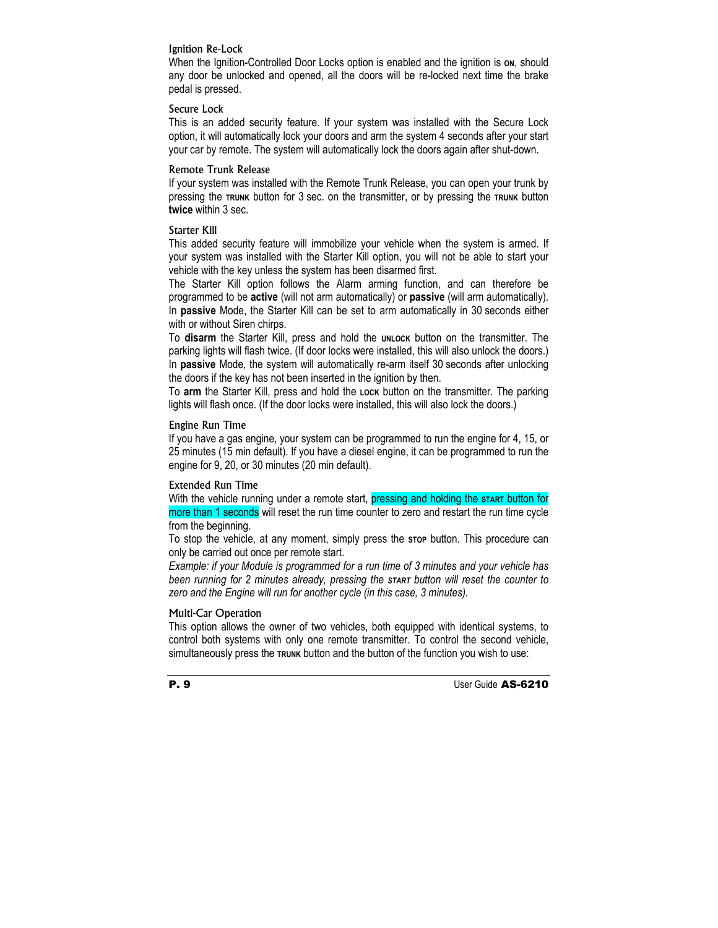## Ignition Re-Lock

When the Ignition-Controlled Door Locks option is enabled and the ignition is on, should any door be unlocked and opened, all the doors will be re-locked next time the brake pedal is pressed.

## Secure Lock

This is an added security feature. If your system was installed with the Secure Lock option, it will automatically lock your doors and arm the system 4 seconds after your start your car by remote. The system will automatically lock the doors again after shut-down.

#### Remote Trunk Release

If your system was installed with the Remote Trunk Release, you can open your trunk by pressing the **TRUNK** button for 3 sec. on the transmitter, or by pressing the **TRUNK** button **twice** within 3 sec.

#### Starter Kill

This added security feature will immobilize your vehicle when the system is armed. If your system was installed with the Starter Kill option, you will not be able to start your vehicle with the key unless the system has been disarmed first.

The Starter Kill option follows the Alarm arming function, and can therefore be programmed to be **active** (will not arm automatically) or **passive** (will arm automatically). In **passive** Mode, the Starter Kill can be set to arm automatically in 30 seconds either with or without Siren chirps.

To disarm the Starter Kill, press and hold the **UNLOCK** button on the transmitter. The parking lights will flash twice. (If door locks were installed, this will also unlock the doors.) In **passive** Mode, the system will automatically re-arm itself 30 seconds after unlocking the doors if the key has not been inserted in the ignition by then.

To **arm** the Starter Kill, press and hold the **LOCK** button on the transmitter. The parking lights will flash once. (If the door locks were installed, this will also lock the doors.)

## Engine Run Time

If you have a gas engine, your system can be programmed to run the engine for 4, 15, or 25 minutes (15 min default). If you have a diesel engine, it can be programmed to run the engine for 9, 20, or 30 minutes (20 min default).

#### Extended Run Time

With the vehicle running under a remote start, pressing and holding the start button for more than 1 seconds will reset the run time counter to zero and restart the run time cycle from the beginning.

To stop the vehicle, at any moment, simply press the **STOP** button. This procedure can only be carried out once per remote start.

*Example: if your Module is programmed for a run time of 3 minutes and your vehicle has been running for 2 minutes already, pressing the START button will reset the counter to zero and the Engine will run for another cycle (in this case, 3 minutes).* 

#### Multi-Car Operation

This option allows the owner of two vehicles, both equipped with identical systems, to control both systems with only one remote transmitter. To control the second vehicle, simultaneously press the **TRUNK** button and the button of the function you wish to use: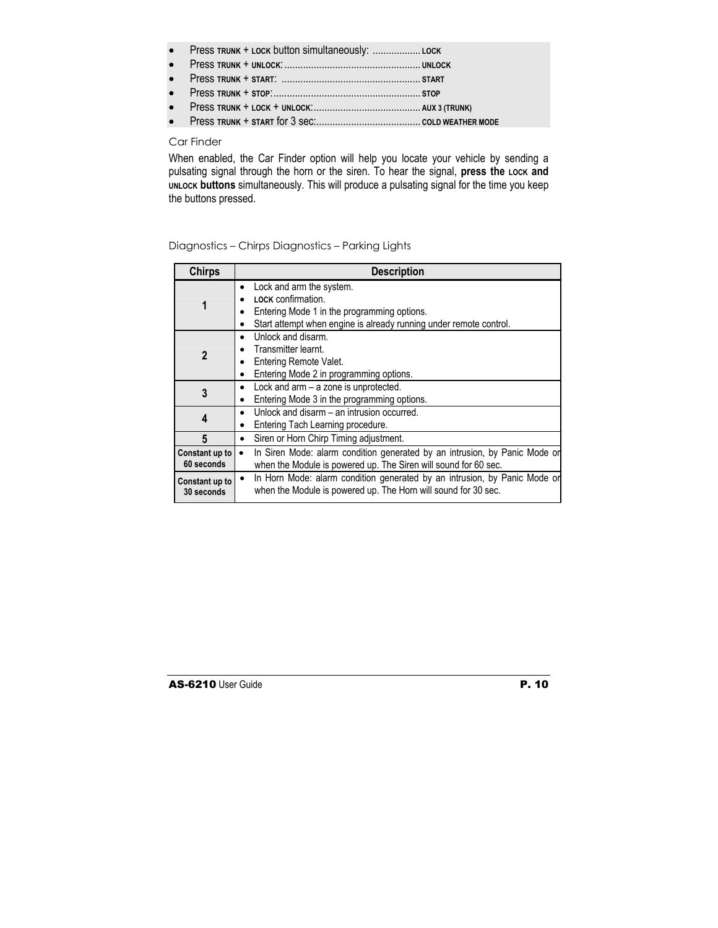- Press **TRUNK** + **LOCK** button simultaneously: .................. **LOCK**
- Press **TRUNK** + **UNLOCK**:................................................... **UNLOCK**
- Press **TRUNK** + **START**: .................................................... **START**
- Press **TRUNK** + **STOP**:....................................................... **STOP**
- Press **TRUNK** + **LOCK** + **UNLOCK**:........................................ **AUX 3 (TRUNK)**
- Press **TRUNK** + **START** for 3 sec:....................................... **COLD WEATHER MODE**

#### Car Finder

When enabled, the Car Finder option will help you locate your vehicle by sending a pulsating signal through the horn or the siren. To hear the signal, press the Lock and **UNLOCK buttons** simultaneously. This will produce a pulsating signal for the time you keep the buttons pressed.

| <b>Chirps</b>                | <b>Description</b>                                                                                                                                                                      |
|------------------------------|-----------------------------------------------------------------------------------------------------------------------------------------------------------------------------------------|
| 1                            | Lock and arm the system.<br>$\bullet$<br><b>LOCK</b> confirmation.<br>Entering Mode 1 in the programming options.<br>Start attempt when engine is already running under remote control. |
| 2                            | Unlock and disarm.<br>Transmitter learnt.<br>Entering Remote Valet.<br>Entering Mode 2 in programming options.                                                                          |
| 3                            | Lock and arm - a zone is unprotected.<br>٠<br>Entering Mode 3 in the programming options.                                                                                               |
| 4                            | Unlock and disarm - an intrusion occurred.<br>٠<br>Entering Tach Learning procedure.<br>٠                                                                                               |
| 5                            | Siren or Horn Chirp Timing adjustment.<br>٠                                                                                                                                             |
| Constant up to<br>60 seconds | In Siren Mode: alarm condition generated by an intrusion, by Panic Mode or<br>when the Module is powered up. The Siren will sound for 60 sec.                                           |
| Constant up to<br>30 seconds | In Horn Mode: alarm condition generated by an intrusion, by Panic Mode or<br>$\bullet$<br>when the Module is powered up. The Horn will sound for 30 sec.                                |